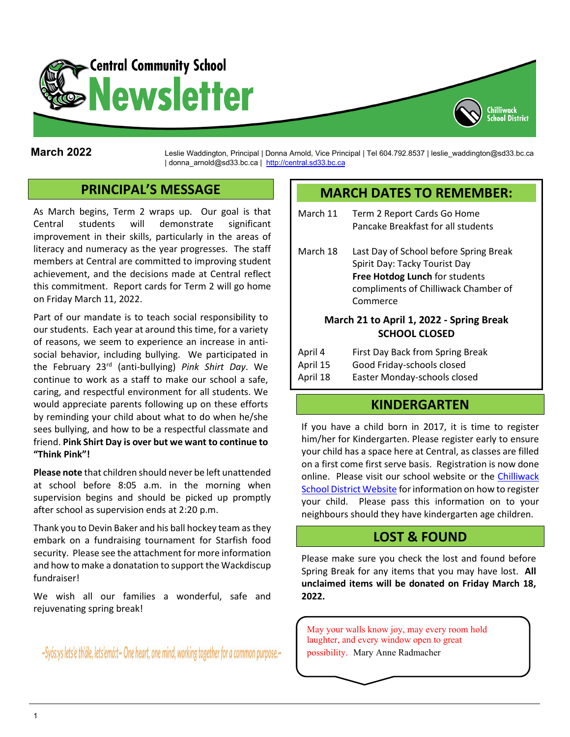

**March 2022** Leslie Waddington, Principal | Donna Arnold, Vice Principal | Tel 604.792.8537 | leslie\_waddington@sd33.bc.ca | donna\_arnold@sd33.bc.ca | [http://central.sd33.bc.ca](http://central.sd33.bc.ca/)

# **PRINCIPAL'S MESSAGE**

As March begins, Term 2 wraps up. Our goal is that Central students will demonstrate significant improvement in their skills, particularly in the areas of literacy and numeracy as the year progresses. The staff members at Central are committed to improving student achievement, and the decisions made at Central reflect this commitment. Report cards for Term 2 will go home on Friday March 11, 2022.

Part of our mandate is to teach social responsibility to our students. Each year at around this time, for a variety of reasons, we seem to experience an increase in antisocial behavior, including bullying. We participated in the February 23rd (anti-bullying) *Pink Shirt Day*. We continue to work as a staff to make our school a safe, caring, and respectful environment for all students. We would appreciate parents following up on these efforts by reminding your child about what to do when he/she sees bullying, and how to be a respectful classmate and friend. **Pink Shirt Day is over but we want to continue to "Think Pink"!** 

**Please note** that children should never be left unattended at school before 8:05 a.m. in the morning when supervision begins and should be picked up promptly after school as supervision ends at 2:20 p.m.

Thank you to Devin Baker and his ball hockey team as they embark on a fundraising tournament for Starfish food security. Please see the attachment for more information and how to make a donatation to support the Wackdiscup fundraiser!

We wish all our families a wonderful, safe and rejuvenating spring break!

~Syós:ys lets'e th'ále, lets'emó:t~ One heart, one mind, working together for a common purpose.

## **MARCH DATES TO REMEMBER:**

Chilliwack

| March 11                                                         | Term 2 Report Cards Go Home<br>Pancake Breakfast for all students                                                                                             |
|------------------------------------------------------------------|---------------------------------------------------------------------------------------------------------------------------------------------------------------|
| March 18                                                         | Last Day of School before Spring Break<br>Spirit Day: Tacky Tourist Day<br>Free Hotdog Lunch for students<br>compliments of Chilliwack Chamber of<br>Commerce |
| March 21 to April 1, 2022 - Spring Break<br><b>SCHOOL CLOSED</b> |                                                                                                                                                               |
|                                                                  | First Day Back from Spring Break                                                                                                                              |

| $\Gamma$ | <b>THISE DAY DACK HOMI SPINIS DI CAN</b> |
|----------|------------------------------------------|
| April 15 | Good Friday-schools closed               |
| April 18 | Easter Monday-schools closed             |

## **KINDERGARTEN**

If you have a child born in 2017, it is time to register him/her for Kindergarten. Please register early to ensure your child has a space here at Central, as classes are filled on a first come first serve basis. Registration is now done online. Please visit our school website or the [Chilliwack](https://www.sd33.bc.ca/registration)  [School District Website](https://www.sd33.bc.ca/registration) for information on how to register your child. Please pass this information on to your neighbours should they have kindergarten age children.

# **LOST & FOUND**

Please make sure you check the lost and found before Spring Break for any items that you may have lost. **All unclaimed items will be donated on Friday March 18, 2022.**

May your walls know joy, may every room hold laughter, and every window open to great possibility. Mary Anne Radmacher